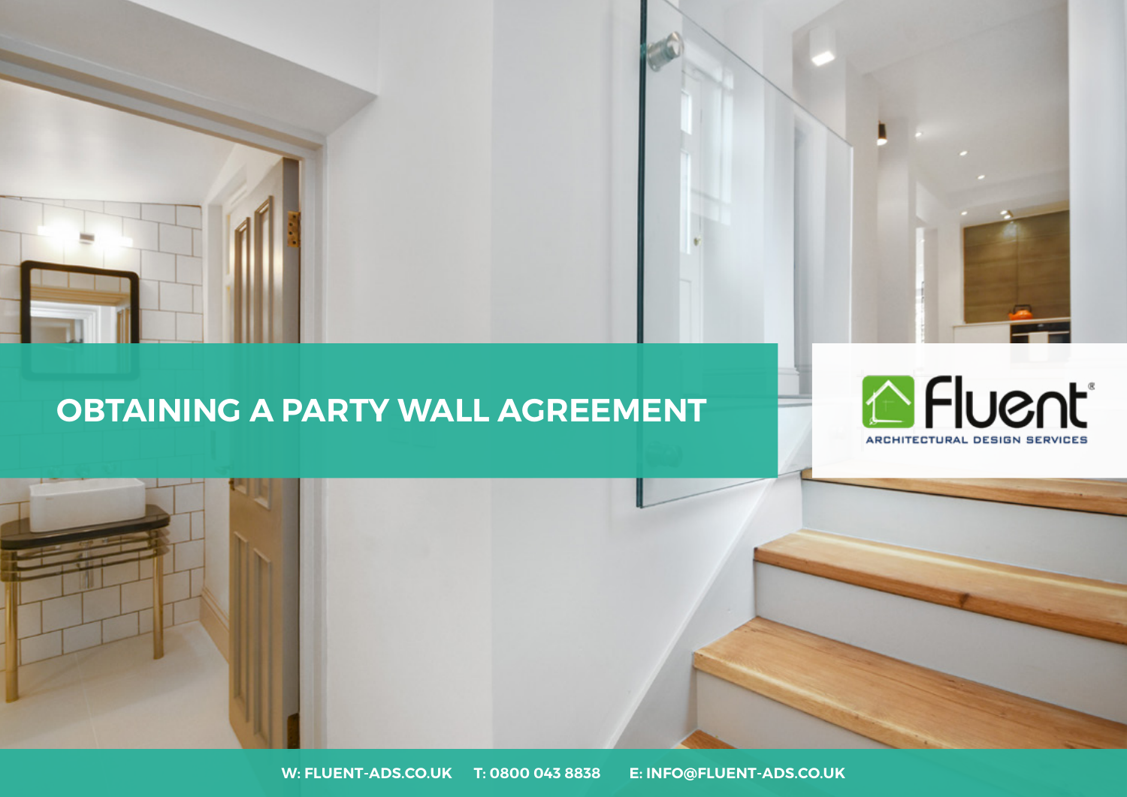

### **OBTAINING A PARTY WALL AGREEMENT**



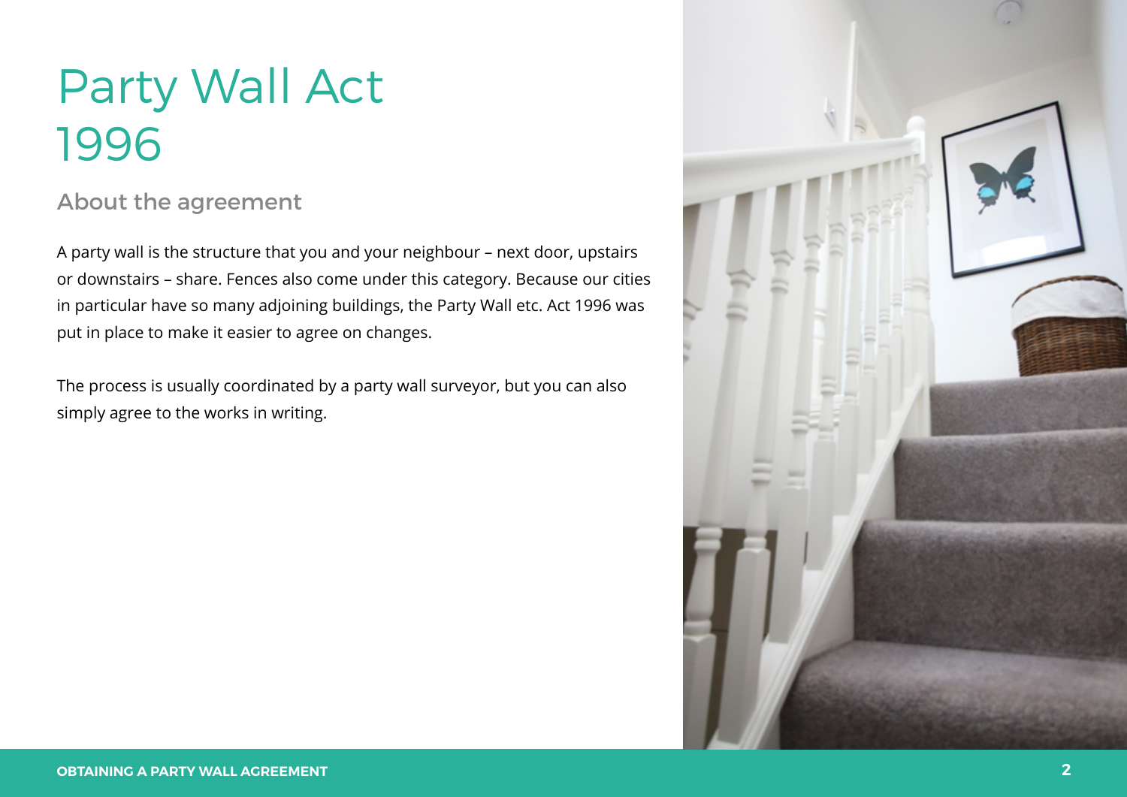## Party Wall Act 1996

### About the agreement

A party wall is the structure that you and your neighbour – next door, upstairs or downstairs – share. Fences also come under this category. Because our cities in particular have so many adjoining buildings, the Party Wall etc. Act 1996 was put in place to make it easier to agree on changes.

The process is usually coordinated by a party wall surveyor, but you can also simply agree to the works in writing.

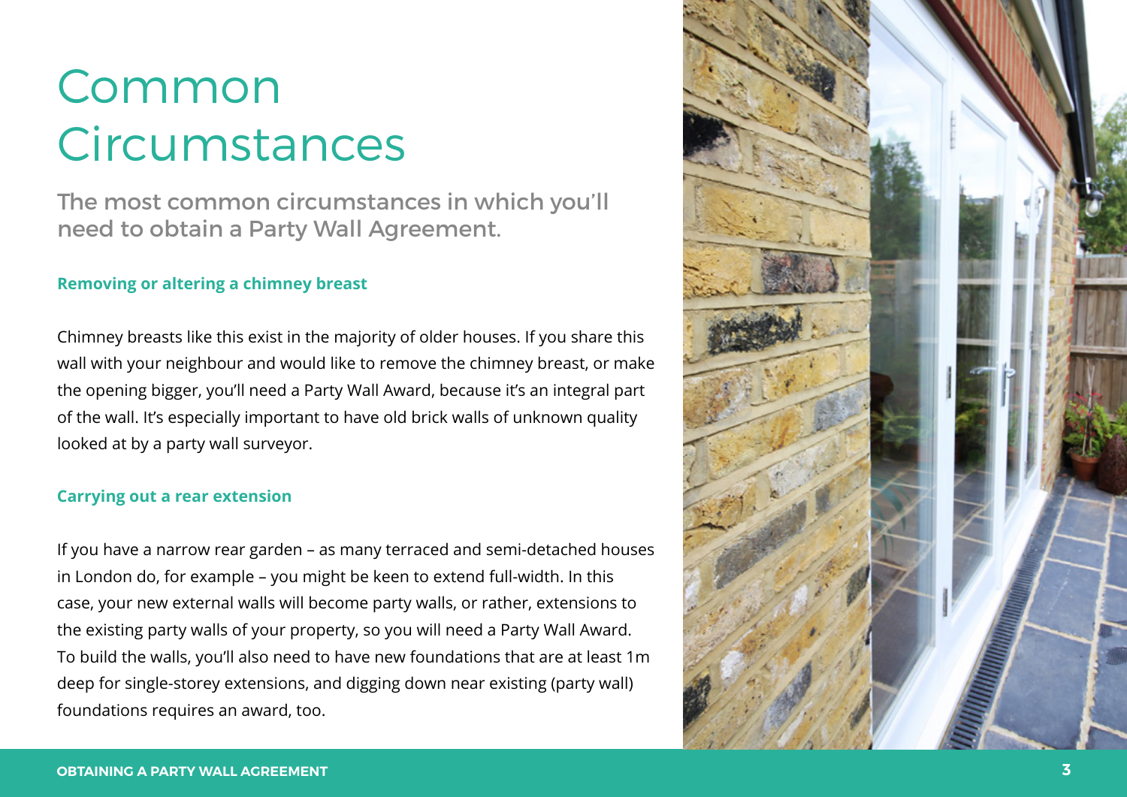The most common circumstances in which you'll need to obtain a Party Wall Agreement.

#### **Removing or altering a chimney breast**

Chimney breasts like this exist in the majority of older houses. If you share this wall with your neighbour and would like to remove the chimney breast, or make the opening bigger, you'll need a Party Wall Award, because it's an integral part of the wall. It's especially important to have old brick walls of unknown quality looked at by a party wall surveyor.

#### **Carrying out a rear extension**

If you have a narrow rear garden – as many terraced and semi-detached houses in London do, for example – you might be keen to extend full-width. In this case, your new external walls will become party walls, or rather, extensions to the existing party walls of your property, so you will need a Party Wall Award. To build the walls, you'll also need to have new foundations that are at least 1m deep for single-storey extensions, and digging down near existing (party wall) foundations requires an award, too.

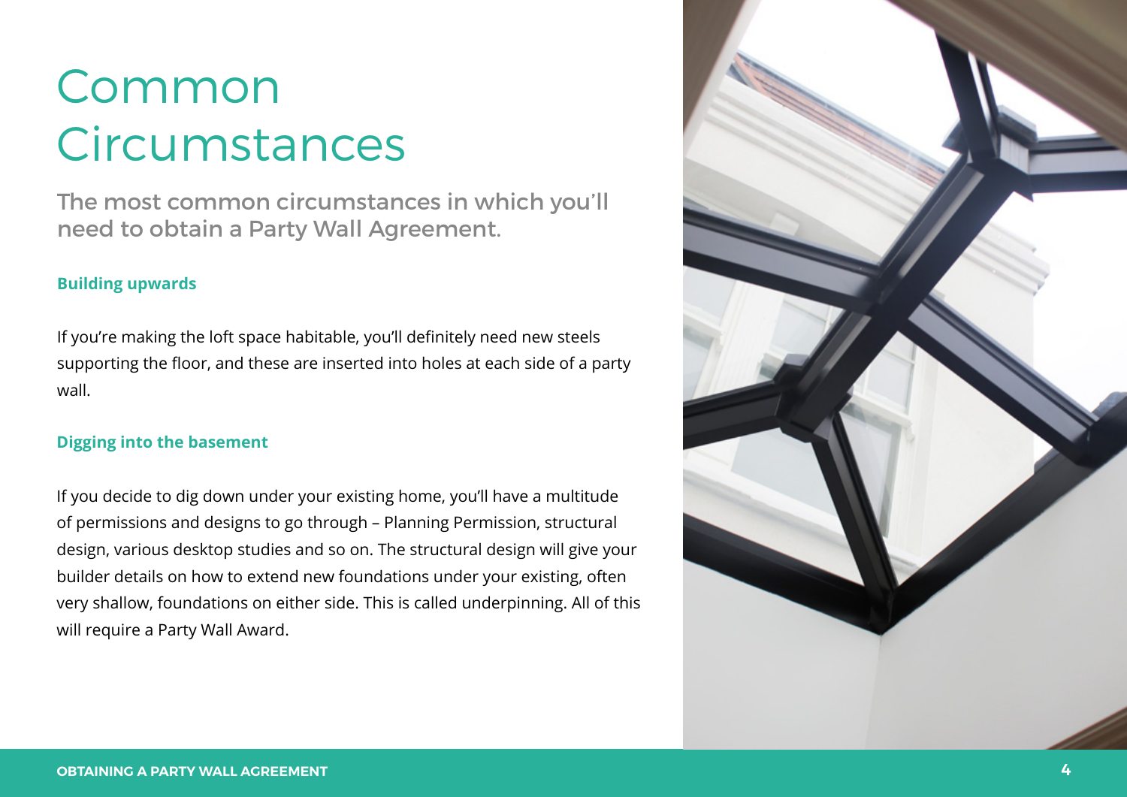The most common circumstances in which you'll need to obtain a Party Wall Agreement.

#### **Building upwards**

If you're making the loft space habitable, you'll definitely need new steels supporting the floor, and these are inserted into holes at each side of a party wall.

#### **Digging into the basement**

If you decide to dig down under your existing home, you'll have a multitude of permissions and designs to go through – Planning Permission, structural design, various desktop studies and so on. The structural design will give your builder details on how to extend new foundations under your existing, often very shallow, foundations on either side. This is called underpinning. All of this will require a Party Wall Award.

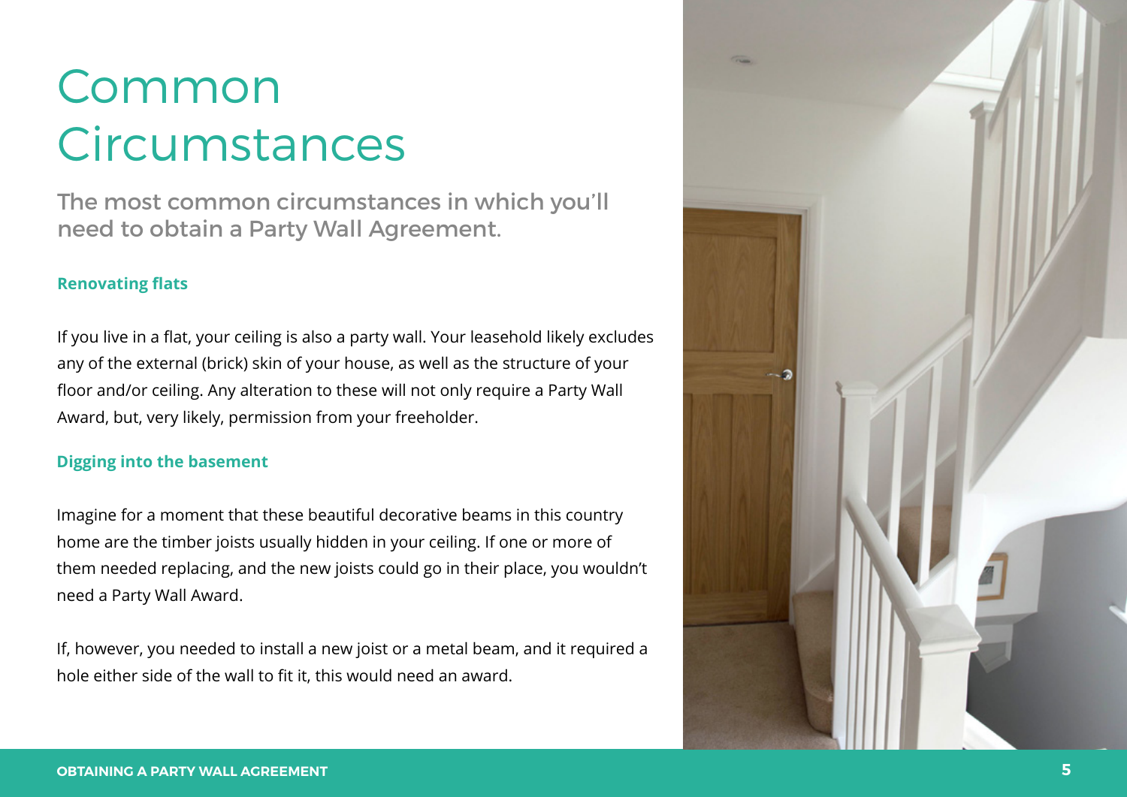The most common circumstances in which you'll need to obtain a Party Wall Agreement.

#### **Renovating flats**

If you live in a flat, your ceiling is also a party wall. Your leasehold likely excludes any of the external (brick) skin of your house, as well as the structure of your floor and/or ceiling. Any alteration to these will not only require a Party Wall Award, but, very likely, permission from your freeholder.

#### **Digging into the basement**

Imagine for a moment that these beautiful decorative beams in this country home are the timber joists usually hidden in your ceiling. If one or more of them needed replacing, and the new joists could go in their place, you wouldn't need a Party Wall Award.

If, however, you needed to install a new joist or a metal beam, and it required a hole either side of the wall to fit it, this would need an award.

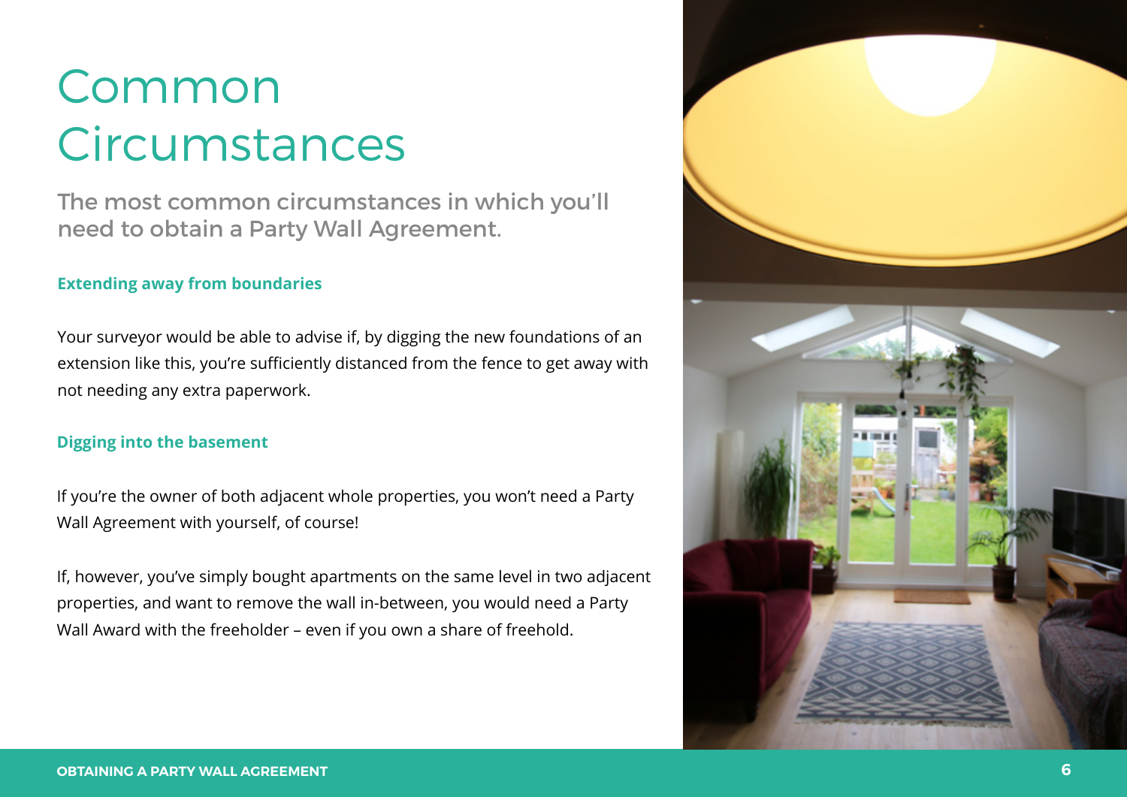The most common circumstances in which you'll need to obtain a Party Wall Agreement.

#### **Extending away from boundaries**

Your surveyor would be able to advise if, by digging the new foundations of an extension like this, you're sufficiently distanced from the fence to get away with not needing any extra paperwork.

#### **Digging into the basement**

If you're the owner of both adjacent whole properties, you won't need a Party Wall Agreement with yourself, of course!

If, however, you've simply bought apartments on the same level in two adjacent properties, and want to remove the wall in-between, you would need a Party Wall Award with the freeholder – even if you own a share of freehold.

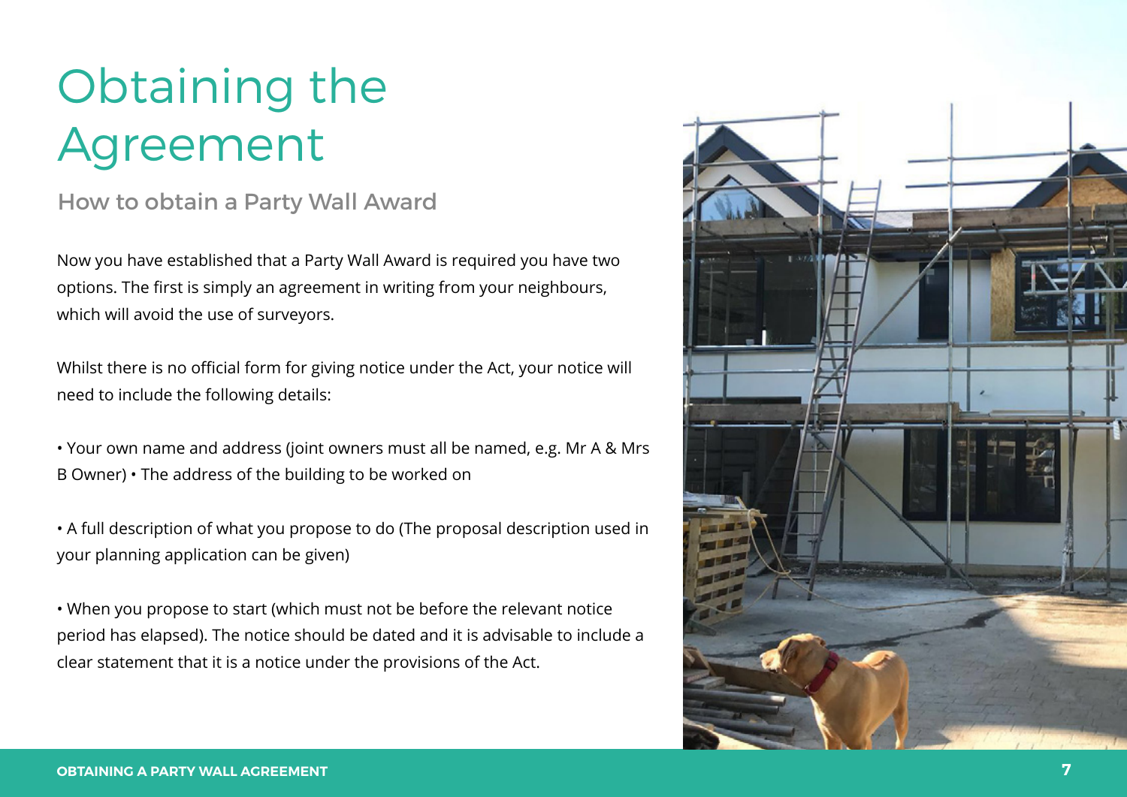# Obtaining the Agreement

### How to obtain a Party Wall Award

Now you have established that a Party Wall Award is required you have two options. The first is simply an agreement in writing from your neighbours, which will avoid the use of surveyors.

Whilst there is no official form for giving notice under the Act, your notice will need to include the following details:

• Your own name and address (joint owners must all be named, e.g. Mr A & Mrs B Owner) • The address of the building to be worked on

• A full description of what you propose to do (The proposal description used in your planning application can be given)

• When you propose to start (which must not be before the relevant notice period has elapsed). The notice should be dated and it is advisable to include a clear statement that it is a notice under the provisions of the Act.